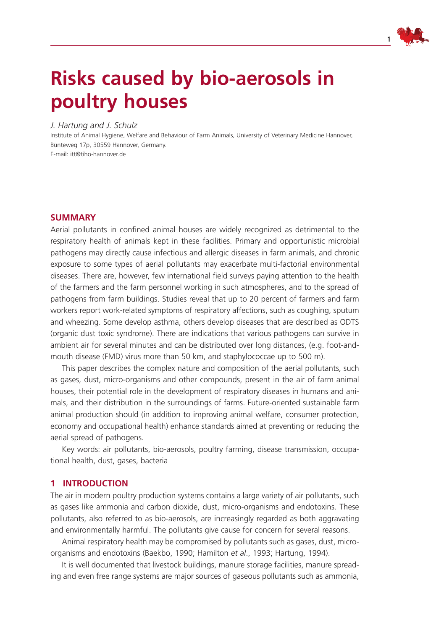

# **Risks caused by bio-aerosols in poultry houses**

## *J. Hartung and J. Schulz*

Institute of Animal Hygiene, Welfare and Behaviour of Farm Animals, University of Veterinary Medicine Hannover, Bünteweg 17p, 30559 Hannover, Germany. E-mail: itt@tiho-hannover.de

## **Summary**

Aerial pollutants in confined animal houses are widely recognized as detrimental to the respiratory health of animals kept in these facilities. Primary and opportunistic microbial pathogens may directly cause infectious and allergic diseases in farm animals, and chronic exposure to some types of aerial pollutants may exacerbate multi-factorial environmental diseases. There are, however, few international field surveys paying attention to the health of the farmers and the farm personnel working in such atmospheres, and to the spread of pathogens from farm buildings. Studies reveal that up to 20 percent of farmers and farm workers report work-related symptoms of respiratory affections, such as coughing, sputum and wheezing. Some develop asthma, others develop diseases that are described as ODTS (organic dust toxic syndrome). There are indications that various pathogens can survive in ambient air for several minutes and can be distributed over long distances, (e.g. foot-andmouth disease (FMD) virus more than 50 km, and staphylococcae up to 500 m).

This paper describes the complex nature and composition of the aerial pollutants, such as gases, dust, micro-organisms and other compounds, present in the air of farm animal houses, their potential role in the development of respiratory diseases in humans and animals, and their distribution in the surroundings of farms. Future-oriented sustainable farm animal production should (in addition to improving animal welfare, consumer protection, economy and occupational health) enhance standards aimed at preventing or reducing the aerial spread of pathogens.

Key words: air pollutants, bio-aerosols, poultry farming, disease transmission, occupational health, dust, gases, bacteria

## **1 Introduction**

The air in modern poultry production systems contains a large variety of air pollutants, such as gases like ammonia and carbon dioxide, dust, micro-organisms and endotoxins. These pollutants, also referred to as bio-aerosols, are increasingly regarded as both aggravating and environmentally harmful. The pollutants give cause for concern for several reasons.

Animal respiratory health may be compromised by pollutants such as gases, dust, microorganisms and endotoxins (Baekbo, 1990; Hamilton *et al*., 1993; Hartung, 1994).

It is well documented that livestock buildings, manure storage facilities, manure spreading and even free range systems are major sources of gaseous pollutants such as ammonia,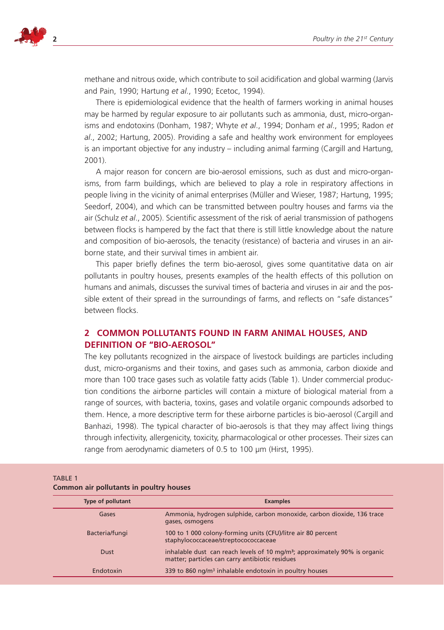

methane and nitrous oxide, which contribute to soil acidification and global warming (Jarvis and Pain, 1990; Hartung *et al*., 1990; Ecetoc, 1994).

There is epidemiological evidence that the health of farmers working in animal houses may be harmed by regular exposure to air pollutants such as ammonia, dust, micro-organisms and endotoxins (Donham, 1987; Whyte *et al*., 1994; Donham *et al*., 1995; Radon *et al*., 2002; Hartung, 2005). Providing a safe and healthy work environment for employees is an important objective for any industry – including animal farming (Cargill and Hartung, 2001).

A major reason for concern are bio-aerosol emissions, such as dust and micro-organisms, from farm buildings, which are believed to play a role in respiratory affections in people living in the vicinity of animal enterprises (Müller and Wieser, 1987; Hartung, 1995; Seedorf, 2004), and which can be transmitted between poultry houses and farms via the air (Schulz *et al*., 2005). Scientific assessment of the risk of aerial transmission of pathogens between flocks is hampered by the fact that there is still little knowledge about the nature and composition of bio-aerosols, the tenacity (resistance) of bacteria and viruses in an airborne state, and their survival times in ambient air.

This paper briefly defines the term bio-aerosol, gives some quantitative data on air pollutants in poultry houses, presents examples of the health effects of this pollution on humans and animals, discusses the survival times of bacteria and viruses in air and the possible extent of their spread in the surroundings of farms, and reflects on "safe distances" between flocks.

# **2 Common pollutants found in farm animal houses, and definition of "bio-aerosol"**

The key pollutants recognized in the airspace of livestock buildings are particles including dust, micro-organisms and their toxins, and gases such as ammonia, carbon dioxide and more than 100 trace gases such as volatile fatty acids (Table 1). Under commercial production conditions the airborne particles will contain a mixture of biological material from a range of sources, with bacteria, toxins, gases and volatile organic compounds adsorbed to them. Hence, a more descriptive term for these airborne particles is bio-aerosol (Cargill and Banhazi, 1998). The typical character of bio-aerosols is that they may affect living things through infectivity, allergenicity, toxicity, pharmacological or other processes. Their sizes can range from aerodynamic diameters of 0.5 to 100 µm (Hirst, 1995).

| Common all pondtants in pountly nouses |                                                                                                                                           |  |  |
|----------------------------------------|-------------------------------------------------------------------------------------------------------------------------------------------|--|--|
| <b>Type of pollutant</b>               | <b>Examples</b>                                                                                                                           |  |  |
| Gases                                  | Ammonia, hydrogen sulphide, carbon monoxide, carbon dioxide, 136 trace<br>gases, osmogens                                                 |  |  |
| Bacteria/fungi                         | 100 to 1 000 colony-forming units (CFU)/litre air 80 percent<br>staphylococcaceae/streptocococcaceae                                      |  |  |
| <b>Dust</b>                            | inhalable dust can reach levels of 10 mg/m <sup>3</sup> ; approximately 90% is organic<br>matter; particles can carry antibiotic residues |  |  |
| Endotoxin                              | 339 to 860 ng/m <sup>3</sup> inhalable endotoxin in poultry houses                                                                        |  |  |

## TABI F 1 **Common air pollutants in poultry houses**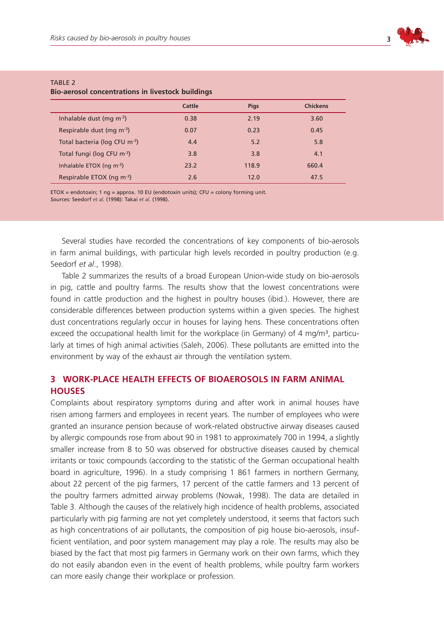

| <u>bio-aerosol concentrations in hyestock buildings</u> |        |             |                 |
|---------------------------------------------------------|--------|-------------|-----------------|
|                                                         | Cattle | <b>Pigs</b> | <b>Chickens</b> |
| Inhalable dust (mg $\rm m^3$ )                          | 0.38   | 2.19        | 3.60            |
| Respirable dust (mg m <sup>-3</sup> )                   | 0.07   | 0.23        | 0.45            |
| Total bacteria (log CFU m <sup>-3</sup> )               | 4.4    | 5.2         | 5.8             |
| Total fungi (log CFU m <sup>-3</sup> )                  | 3.8    | 3.8         | 4.1             |
| Inhalable ETOX (ng $m^{-3}$ )                           | 23.2   | 118.9       | 660.4           |
| Respirable ETOX (ng m <sup>-3</sup> )                   | 2.6    | 12.0        | 47.5            |

### $T \triangle R$  F 2 **Bio-aerosol concentrations in livestock buildings**

ETOX = endotoxin; 1 ng = approx. 10 EU (endotoxin units); CFU = colony forming unit. *Sources:* Seedorf *et al.* (1998): Takai *et al.* (1998).

Several studies have recorded the concentrations of key components of bio-aerosols in farm animal buildings, with particular high levels recorded in poultry production (e.g. Seedorf *et al*., 1998).

Table 2 summarizes the results of a broad European Union-wide study on bio-aerosols in pig, cattle and poultry farms. The results show that the lowest concentrations were found in cattle production and the highest in poultry houses (ibid.). However, there are considerable differences between production systems within a given species. The highest dust concentrations regularly occur in houses for laying hens. These concentrations often exceed the occupational health limit for the workplace (in Germany) of 4 mg/m<sup>3</sup>, particularly at times of high animal activities (Saleh, 2006). These pollutants are emitted into the environment by way of the exhaust air through the ventilation system.

# **3 Work-place health effects of bioaerosols in farm animal houses**

Complaints about respiratory symptoms during and after work in animal houses have risen among farmers and employees in recent years. The number of employees who were granted an insurance pension because of work-related obstructive airway diseases caused by allergic compounds rose from about 90 in 1981 to approximately 700 in 1994, a slightly smaller increase from 8 to 50 was observed for obstructive diseases caused by chemical irritants or toxic compounds (according to the statistic of the German occupational health board in agriculture, 1996). In a study comprising 1 861 farmers in northern Germany, about 22 percent of the pig farmers, 17 percent of the cattle farmers and 13 percent of the poultry farmers admitted airway problems (Nowak, 1998). The data are detailed in Table 3. Although the causes of the relatively high incidence of health problems, associated particularly with pig farming are not yet completely understood, it seems that factors such as high concentrations of air pollutants, the composition of pig house bio-aerosols, insufficient ventilation, and poor system management may play a role. The results may also be biased by the fact that most pig farmers in Germany work on their own farms, which they do not easily abandon even in the event of health problems, while poultry farm workers can more easily change their workplace or profession.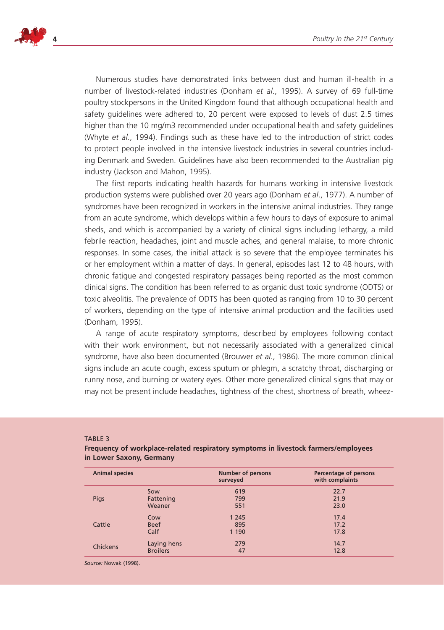

Numerous studies have demonstrated links between dust and human ill-health in a number of livestock-related industries (Donham *et al*., 1995). A survey of 69 full-time poultry stockpersons in the United Kingdom found that although occupational health and safety guidelines were adhered to, 20 percent were exposed to levels of dust 2.5 times higher than the 10 mg/m3 recommended under occupational health and safety guidelines (Whyte *et al*., 1994). Findings such as these have led to the introduction of strict codes to protect people involved in the intensive livestock industries in several countries including Denmark and Sweden. Guidelines have also been recommended to the Australian pig industry (Jackson and Mahon, 1995).

The first reports indicating health hazards for humans working in intensive livestock production systems were published over 20 years ago (Donham *et al*., 1977). A number of syndromes have been recognized in workers in the intensive animal industries. They range from an acute syndrome, which develops within a few hours to days of exposure to animal sheds, and which is accompanied by a variety of clinical signs including lethargy, a mild febrile reaction, headaches, joint and muscle aches, and general malaise, to more chronic responses. In some cases, the initial attack is so severe that the employee terminates his or her employment within a matter of days. In general, episodes last 12 to 48 hours, with chronic fatigue and congested respiratory passages being reported as the most common clinical signs. The condition has been referred to as organic dust toxic syndrome (ODTS) or toxic alveolitis. The prevalence of ODTS has been quoted as ranging from 10 to 30 percent of workers, depending on the type of intensive animal production and the facilities used (Donham, 1995).

A range of acute respiratory symptoms, described by employees following contact with their work environment, but not necessarily associated with a generalized clinical syndrome, have also been documented (Brouwer *et al*., 1986). The more common clinical signs include an acute cough, excess sputum or phlegm, a scratchy throat, discharging or runny nose, and burning or watery eyes. Other more generalized clinical signs that may or may not be present include headaches, tightness of the chest, shortness of breath, wheez-

#### Table 3

## **Frequency of workplace-related respiratory symptoms in livestock farmers/employees in Lower Saxony, Germany**

| <b>Animal species</b> |                 | <b>Number of persons</b><br>surveyed | Percentage of persons<br>with complaints |
|-----------------------|-----------------|--------------------------------------|------------------------------------------|
|                       | Sow             | 619                                  | 22.7                                     |
| Pigs                  | Fattening       | 799                                  | 21.9                                     |
|                       | Weaner          | 551                                  | 23.0                                     |
|                       | Cow             | 1 2 4 5                              | 17.4                                     |
| Cattle                | <b>Beef</b>     | 895                                  | 17.2                                     |
|                       | Calf            | 1 1 9 0                              | 17.8                                     |
| <b>Chickens</b>       | Laying hens     | 279                                  | 14.7                                     |
|                       | <b>Broilers</b> | 47                                   | 12.8                                     |

*Source:* Nowak (1998).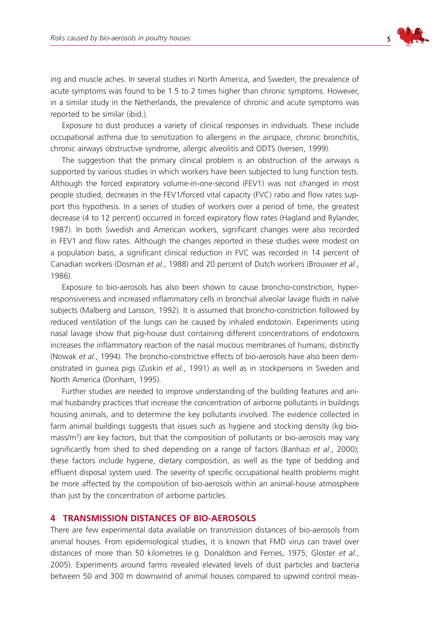

ing and muscle aches. In several studies in North America, and Sweden, the prevalence of acute symptoms was found to be 1.5 to 2 times higher than chronic symptoms. However, in a similar study in the Netherlands, the prevalence of chronic and acute symptoms was reported to be similar (ibid.).

Exposure to dust produces a variety of clinical responses in individuals. These include occupational asthma due to sensitization to allergens in the airspace, chronic bronchitis, chronic airways obstructive syndrome, allergic alveolitis and ODTS (Iversen, 1999).

The suggestion that the primary clinical problem is an obstruction of the airways is supported by various studies in which workers have been subjected to lung function tests. Although the forced expiratory volume-in-one-second (FEV1) was not changed in most people studied, decreases in the FEV1/forced vital capacity (FVC) ratio and flow rates support this hypothesis. In a series of studies of workers over a period of time, the greatest decrease (4 to 12 percent) occurred in forced expiratory flow rates (Hagland and Rylander, 1987). In both Swedish and American workers, significant changes were also recorded in FEV1 and flow rates. Although the changes reported in these studies were modest on a population basis, a significant clinical reduction in FVC was recorded in 14 percent of Canadian workers (Dosman *et al*., 1988) and 20 percent of Dutch workers (Brouwer *et al*., 1986).

Exposure to bio-aerosols has also been shown to cause broncho-constriction, hyperresponsiveness and increased inflammatory cells in bronchial alveolar lavage fluids in naïve subjects (Malberg and Larsson, 1992). It is assumed that broncho-constriction followed by reduced ventilation of the lungs can be caused by inhaled endotoxin. Experiments using nasal lavage show that pig-house dust containing different concentrations of endotoxins increases the inflammatory reaction of the nasal mucous membranes of humans, distinctly (Nowak *et al*., 1994). The broncho-constrictive effects of bio-aerosols have also been demonstrated in guinea pigs (Zuskin *et al*., 1991) as well as in stockpersons in Sweden and North America (Donham, 1995).

Further studies are needed to improve understanding of the building features and animal husbandry practices that increase the concentration of airborne pollutants in buildings housing animals, and to determine the key pollutants involved. The evidence collected in farm animal buildings suggests that issues such as hygiene and stocking density (kg biomass/ $m<sup>3</sup>$ ) are key factors, but that the composition of pollutants or bio-aerosols may vary significantly from shed to shed depending on a range of factors (Banhazi *et al*., 2000); these factors include hygiene, dietary composition, as well as the type of bedding and effluent disposal system used. The severity of specific occupational health problems might be more affected by the composition of bio-aerosols within an animal-house atmosphere than just by the concentration of airborne particles.

## **4 Transmission distances of bio-aerosols**

There are few experimental data available on transmission distances of bio-aerosols from animal houses. From epidemiological studies, it is known that FMD virus can travel over distances of more than 50 kilometres (e.g. Donaldson and Ferries, 1975; Gloster *et al*., 2005). Experiments around farms revealed elevated levels of dust particles and bacteria between 50 and 300 m downwind of animal houses compared to upwind control meas-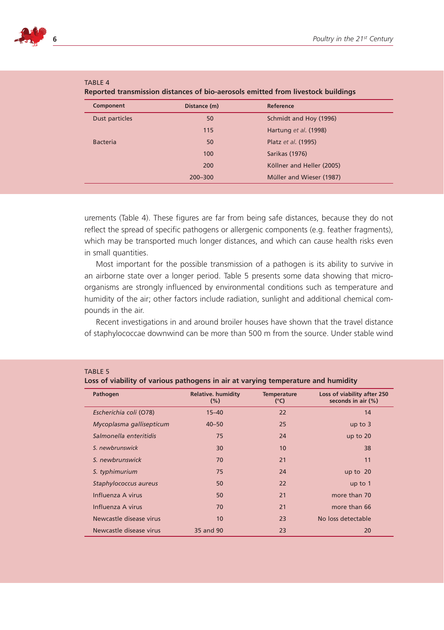

| Component       | Distance (m) | Reference                 |  |
|-----------------|--------------|---------------------------|--|
| Dust particles  | 50           | Schmidt and Hoy (1996)    |  |
|                 | 115          | Hartung et al. (1998)     |  |
| <b>Bacteria</b> | 50           | Platz et al. (1995)       |  |
|                 | 100          | <b>Sarikas (1976)</b>     |  |
|                 | 200          | Köllner and Heller (2005) |  |
|                 | $200 - 300$  | Müller and Wieser (1987)  |  |
|                 |              |                           |  |

| --------                                                                         |  |  |  |
|----------------------------------------------------------------------------------|--|--|--|
| Reported transmission distances of bio-aerosols emitted from livestock buildings |  |  |  |

urements (Table 4). These figures are far from being safe distances, because they do not reflect the spread of specific pathogens or allergenic components (e.g. feather fragments), which may be transported much longer distances, and which can cause health risks even in small quantities.

Most important for the possible transmission of a pathogen is its ability to survive in an airborne state over a longer period. Table 5 presents some data showing that microorganisms are strongly influenced by environmental conditions such as temperature and humidity of the air; other factors include radiation, sunlight and additional chemical compounds in the air.

Recent investigations in and around broiler houses have shown that the travel distance of staphylococcae downwind can be more than 500 m from the source. Under stable wind

#### Table 5

TARIF  $4$ 

**Loss of viability of various pathogens in air at varying temperature and humidity**

| Pathogen                 | <b>Relative. humidity</b><br>$(\% )$ | <b>Temperature</b><br>(°C) | Loss of viability after 250<br>seconds in air (%) |
|--------------------------|--------------------------------------|----------------------------|---------------------------------------------------|
| Escherichia coli (O78)   | $15 - 40$                            | 22                         | 14                                                |
| Mycoplasma gallisepticum | $40 - 50$                            | 25                         | up to $3$                                         |
| Salmonella enteritidis   | 75                                   | 24                         | up to $20$                                        |
| S. newbrunswick          | 30                                   | 10                         | 38                                                |
| S newbrunswick           | 70                                   | 21                         | 11                                                |
| S. typhimurium           | 75                                   | 24                         | up to $20$                                        |
| Staphylococcus aureus    | 50                                   | 22                         | up to $1$                                         |
| Influenza A virus        | 50                                   | 21                         | more than 70                                      |
| Influenza A virus        | 70                                   | 21                         | more than 66                                      |
| Newcastle disease virus  | 10                                   | 23                         | No loss detectable                                |
| Newcastle disease virus  | 35 and 90                            | 23                         | 20                                                |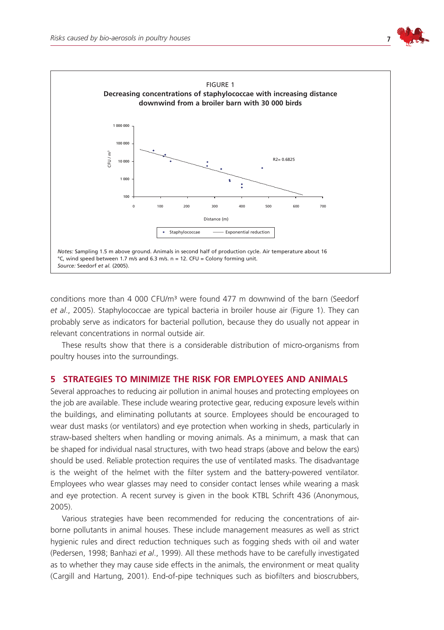



conditions more than 4 000 CFU/m<sup>3</sup> were found 477 m downwind of the barn (Seedorf *et al*., 2005). Staphylococcae are typical bacteria in broiler house air (Figure 1). They can probably serve as indicators for bacterial pollution, because they do usually not appear in relevant concentrations in normal outside air.

These results show that there is a considerable distribution of micro-organisms from poultry houses into the surroundings.

## **5 Strategies to minimize the risk for employees and animals**

Several approaches to reducing air pollution in animal houses and protecting employees on the job are available. These include wearing protective gear, reducing exposure levels within the buildings, and eliminating pollutants at source. Employees should be encouraged to wear dust masks (or ventilators) and eye protection when working in sheds, particularly in straw-based shelters when handling or moving animals. As a minimum, a mask that can be shaped for individual nasal structures, with two head straps (above and below the ears) should be used. Reliable protection requires the use of ventilated masks. The disadvantage is the weight of the helmet with the filter system and the battery-powered ventilator. Employees who wear glasses may need to consider contact lenses while wearing a mask and eye protection. A recent survey is given in the book KTBL Schrift 436 (Anonymous, 2005).

Various strategies have been recommended for reducing the concentrations of airborne pollutants in animal houses. These include management measures as well as strict hygienic rules and direct reduction techniques such as fogging sheds with oil and water (Pedersen, 1998; Banhazi *et al*., 1999). All these methods have to be carefully investigated as to whether they may cause side effects in the animals, the environment or meat quality (Cargill and Hartung, 2001). End-of-pipe techniques such as biofilters and bioscrubbers,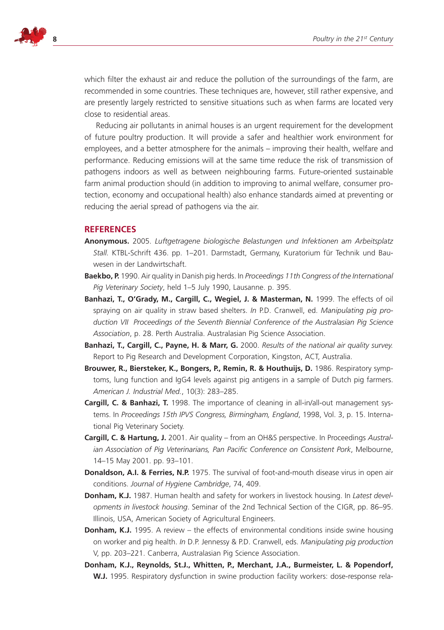

which filter the exhaust air and reduce the pollution of the surroundings of the farm, are recommended in some countries. These techniques are, however, still rather expensive, and are presently largely restricted to sensitive situations such as when farms are located very close to residential areas.

Reducing air pollutants in animal houses is an urgent requirement for the development of future poultry production. It will provide a safer and healthier work environment for employees, and a better atmosphere for the animals – improving their health, welfare and performance. Reducing emissions will at the same time reduce the risk of transmission of pathogens indoors as well as between neighbouring farms. Future-oriented sustainable farm animal production should (in addition to improving to animal welfare, consumer protection, economy and occupational health) also enhance standards aimed at preventing or reducing the aerial spread of pathogens via the air.

## **References**

- **Anonymous.** 2005. *Luftgetragene biologische Belastungen und Infektionen am Arbeitsplatz Stall.* KTBL-Schrift 436. pp. 1–201. Darmstadt, Germany, Kuratorium für Technik und Bauwesen in der Landwirtschaft.
- **Baekbo, P.** 1990. Air quality in Danish pig herds. In *Proceedings 11th Congress of the International Pig Veterinary Society*, held 1–5 July 1990, Lausanne. p. 395.
- **Banhazi, T., O'Grady, M., Cargill, C., Wegiel, J. & Masterman, N.** 1999. The effects of oil spraying on air quality in straw based shelters. *In* P.D. Cranwell, ed. *Manipulating pig production VII Proceedings of the Seventh Biennial Conference of the Australasian Pig Science Association*, p. 28. Perth Australia. Australasian Pig Science Association.
- **Banhazi, T., Cargill, C., Payne, H. & Marr, G.** 2000. *Results of the national air quality survey.*  Report to Pig Research and Development Corporation, Kingston, ACT, Australia.
- **Brouwer, R., Biersteker, K., Bongers, P., Remin, R. & Houthuijs, D.** 1986. Respiratory symptoms, lung function and IgG4 levels against pig antigens in a sample of Dutch pig farmers. *American J. Industrial Med.*, 10(3): 283–285.
- **Cargill, C. & Banhazi, T.** 1998. The importance of cleaning in all-in/all-out management systems. In *Proceedings 15th IPVS Congress, Birmingham, England*, 1998, Vol. 3, p. 15. International Pig Veterinary Society.
- **Cargill, C. & Hartung, J.** 2001. Air quality from an OH&S perspective. In Proceedings *Australian Association of Pig Veterinarians, Pan Pacific Conference on Consistent Pork*, Melbourne, 14–15 May 2001. pp. 93–101.
- **Donaldson, A.I. & Ferries, N.P.** 1975. The survival of foot-and-mouth disease virus in open air conditions. *Journal of Hygiene Cambridge*, 74, 409.
- **Donham, K.J.** 1987. Human health and safety for workers in livestock housing. In *Latest developments in livestock housing*. Seminar of the 2nd Technical Section of the CIGR, pp. 86–95. Illinois, USA, American Society of Agricultural Engineers.
- **Donham, K.J.** 1995. A review the effects of environmental conditions inside swine housing on worker and pig health. *In* D.P. Jennessy & P.D. Cranwell, eds. *Manipulating pig production*  V, pp. 203–221. Canberra, Australasian Pig Science Association.
- **Donham, K.J., Reynolds, St.J., Whitten, P., Merchant, J.A., Burmeister, L. & Popendorf,**  W.J. 1995. Respiratory dysfunction in swine production facility workers: dose-response rela-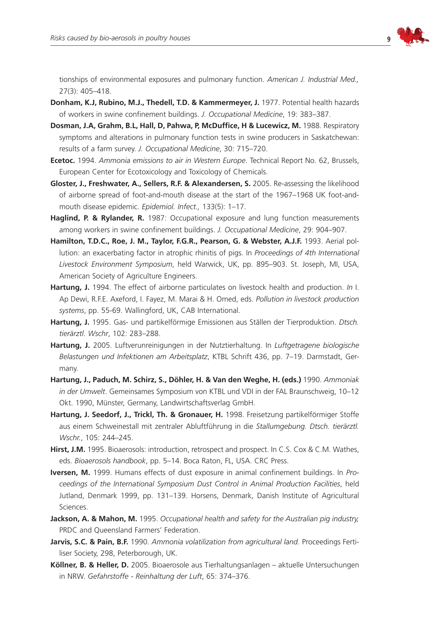

tionships of environmental exposures and pulmonary function. *American J. Industrial Med.,* 27(3): 405–418.

- **Donham, K.J, Rubino, M.J., Thedell, T.D. & Kammermeyer, J.** 1977. Potential health hazards of workers in swine confinement buildings. *J. Occupational Medicine*, 19: 383–387.
- **Dosman, J.A, Grahm, B.L, Hall, D, Pahwa, P, McDuffice, H & Lucewicz, M.** 1988. Respiratory symptoms and alterations in pulmonary function tests in swine producers in Saskatchewan: results of a farm survey. *J. Occupational Medicine*, 30: 715–720.
- **Ecetoc.** 1994. *Ammonia emissions to air in Western Europe*. Technical Report No. 62, Brussels, European Center for Ecotoxicology and Toxicology of Chemicals.
- **Gloster, J., Freshwater, A., Sellers, R.F. & Alexandersen, S.** 2005. Re-assessing the likelihood of airborne spread of foot-and-mouth disease at the start of the 1967–1968 UK foot-andmouth disease epidemic. *Epidemiol. Infect.,* 133(5): 1–17.
- Haglind, P. & Rylander, R. 1987: Occupational exposure and lung function measurements among workers in swine confinement buildings. *J. Occupational Medicine*, 29: 904–907.
- **Hamilton, T.D.C., Roe, J. M., Taylor, F.G.R., Pearson, G. & Webster, A.J.F.** 1993. Aerial pollution: an exacerbating factor in atrophic rhinitis of pigs. In *Proceedings of 4th International Livestock Environment Symposium*, held Warwick, UK, pp. 895–903. St. Joseph, MI, USA, American Society of Agriculture Engineers.
- **Hartung, J.** 1994. The effect of airborne particulates on livestock health and production. *In* I. Ap Dewi, R.F.E. Axeford, I. Fayez, M. Marai & H. Omed, eds. *Pollution in livestock production systems*, pp. 55-69. Wallingford, UK, CAB International.
- **Hartung, J.** 1995. Gas- und partikelförmige Emissionen aus Ställen der Tierproduktion. *Dtsch. tierärztl. Wschr*, 102: 283–288.
- **Hartung, J.** 2005. Luftverunreinigungen in der Nutztierhaltung. In *Luftgetragene biologische Belastungen und Infektionen am Arbeitsplatz*, KTBL Schrift 436, pp. 7–19. Darmstadt, Germany.
- **Hartung, J., Paduch, M. Schirz, S., Döhler, H. & Van den Weghe, H. (eds.)** 1990. *Ammoniak in der Umwelt*. Gemeinsames Symposium von KTBL und VDI in der FAL Braunschweig, 10–12 Okt. 1990, Münster, Germany, Landwirtschaftsverlag GmbH.
- **Hartung, J. Seedorf, J., Trickl, Th. & Gronauer, H.** 1998. Freisetzung partikelförmiger Stoffe aus einem Schweinestall mit zentraler Abluftführung in die *Stallumgebung. Dtsch. tierärztl. Wschr.*, 105: 244–245.
- **Hirst, J.M.** 1995. Bioaerosols: introduction, retrospect and prospect. In C.S. Cox & C.M. Wathes, eds. *Bioaerosols handbook*, pp. 5–14. Boca Raton, FL, USA. CRC Press.
- **Iversen, M.** 1999. Humans effects of dust exposure in animal confinement buildings. In *Proceedings of the International Symposium Dust Control in Animal Production Facilities*, held Jutland, Denmark 1999, pp. 131–139. Horsens, Denmark, Danish Institute of Agricultural Sciences.
- **Jackson, A. & Mahon, M.** 1995. *Occupational health and safety for the Australian pig industry,*  PRDC and Queensland Farmers' Federation.
- **Jarvis, S.C. & Pain, B.F.** 1990. *Ammonia volatilization from agricultural land.* Proceedings Fertiliser Society, 298, Peterborough, UK.
- **Köllner, B. & Heller, D.** 2005. Bioaerosole aus Tierhaltungsanlagen aktuelle Untersuchungen in NRW. *Gefahrstoffe - Reinhaltung der Luft*, 65: 374–376.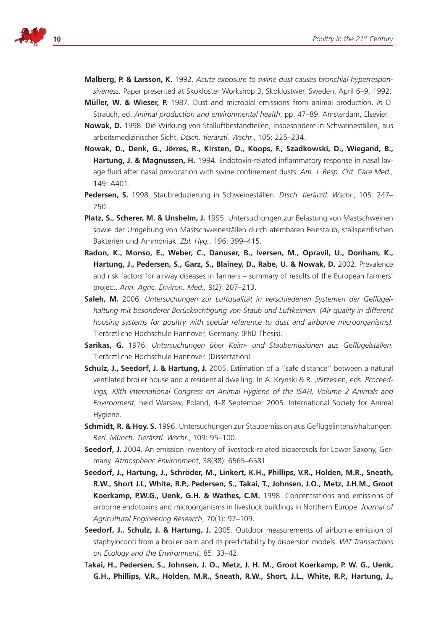

- **Malberg, P. & Larsson, K.** 1992. *Acute exposure to swine dust causes bronchial hyperresponsiveness.* Paper presented at Skokloster Workshop 3, Skoklostwer, Sweden, April 6–9, 1992.
- **Müller, W. & Wieser, P.** 1987. Dust and microbial emissions from animal production. *In* D. Strauch, ed. *Animal production and environmental health*, pp. 47–89. Amsterdam, Elsevier.
- **Nowak, D.** 1998. Die Wirkung von Stalluftbestandteilen, insbesondere in Schweineställen, aus arbeitsmedizinischer Sicht. *Dtsch. tierärztl. Wschr.*, 105: 225–234.
- **Nowak, D., Denk, G., Jörres, R., Kirsten, D., Koops, F., Szadkowski, D., Wiegand, B., Hartung, J. & Magnussen, H.** 1994. Endotoxin-related inflammatory response in nasal lavage fluid after nasal provocation with swine confinement dusts. *Am. J. Resp. Crit. Care Med.*, 149: A401.
- **Pedersen, S.** 1998. Staubreduzierung in Schweineställen. *Dtsch. tierärztl. Wschr.*, 105: 247– 250.
- **Platz, S., Scherer, M. & Unshelm, J.** 1995. Untersuchungen zur Belastung von Mastschweinen sowie der Umgebung von Mastschweineställen durch atembaren Feinstaub, stallspezifischen Bakterien und Ammoniak. *Zbl. Hyg.*, 196: 399–415.
- **Radon, K., Monso, E., Weber, C., Danuser, B., Iversen, M., Opravil, U., Donham, K., Hartung, J., Pedersen, S., Garz, S., Blainey, D., Rabe, U. & Nowak, D.** 2002. Prevalence and risk factors for airway diseases in farmers – summary of results of the European farmers' project. *Ann. Agric. Environ. Med.,* 9(2): 207–213.
- **Saleh, M.** 2006. *Untersuchungen zur Luftqualität in verschiedenen Systemen der Geflügelhaltung mit besonderer Berücksichtigung von Staub und Luftkeimen. (Air quality in different housing systems for poultry with special reference to dust and airborne microorganisms).*  Tierärztliche Hochschule Hannover, Germany. (PhD Thesis).
- **Sarikas, G.** 1976. *Untersuchungen über Keim- und Staubemissionen aus Geflügelställen.*  Tierärztliche Hochschule Hannover. (Dissertation)
- **Schulz, J., Seedorf, J. & Hartung, J.** 2005. Estimation of a "safe distance" between a natural ventilated broiler house and a residential dwelling. In A. Krynski & R. ,Wrzesien, eds. *Proceed*ings, XIIth International Congress on Animal Hygiene of the ISAH, Volume 2 Animals and *Environment*, held Warsaw, Poland, 4–8 September 2005. International Society for Animal Hygiene.
- **Schmidt, R. & Hoy. S.** 1996. Untersuchungen zur Staubemission aus Geflügelintensivhaltungen. *Berl. Münch. Tierärztl. Wschr.*, 109: 95–100.
- **Seedorf, J.** 2004. An emission inventory of livestock-related bioaerosols for Lower Saxony, Germany. *Atmospheric Environment*, 38(38): 6565–6581
- **Seedorf, J., Hartung, J., Schröder, M., Linkert, K.H., Phillips, V.R., Holden, M.R., Sneath, R.W., Short J.L, White, R.P., Pedersen, S., Takai, T., Johnsen, J.O., Metz, J.H.M., Groot Koerkamp, P.W.G., Uenk, G.H. & Wathes, C.M.** 1998. Concentrations and emissions of airborne endotoxins and microorganisms in livestock buildings in Northern Europe. *Journal of Agricultural Engineering Research*, 70(1): 97–109.
- **Seedorf, J., Schulz, J. & Hartung, J.** 2005. Outdoor measurements of airborne emission of staphylococci from a broiler barn and its predictability by dispersion models. *WIT Transactions on Ecology and the Environment*, 85: 33–42.
- T**akai, H., Pedersen, S., Johnsen, J. O., Metz, J. H. M., Groot Koerkamp, P. W. G., Uenk, G.H., Phillips, V.R., Holden, M.R., Sneath, R.W., Short, J.L., White, R.P., Hartung, J.,**